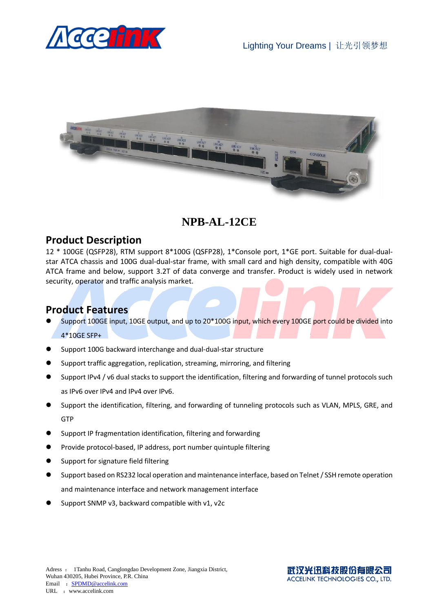



## **NPB-AL-12CE**

## **Product Description**

12 \* 100GE (QSFP28), RTM support 8\*100G (QSFP28), 1\*Console port, 1\*GE port. Suitable for dual-dualstar ATCA chassis and 100G dual-dual-star frame, with small card and high density, compatible with 40G ATCA frame and below, support 3.2T of data converge and transfer. Product is widely used in network security, operator and traffic analysis market.

## **Product Features**

- Support 100GE input, 10GE output, and up to 20\*100G input, which every 100GE port could be divided into 4\*10GE SFP+
- Support 100G backward interchange and dual-dual-star structure
- Support traffic aggregation, replication, streaming, mirroring, and filtering
- Support IPv4 / v6 dual stacks to support the identification, filtering and forwarding of tunnel protocols such as IPv6 over IPv4 and IPv4 over IPv6.
- Support the identification, filtering, and forwarding of tunneling protocols such as VLAN, MPLS, GRE, and **GTP**
- Support IP fragmentation identification, filtering and forwarding
- Provide protocol-based, IP address, port number quintuple filtering
- Support for signature field filtering
- Support based on RS232 local operation and maintenance interface, based on Telnet / SSH remote operation and maintenance interface and network management interface
- Support SNMP v3, backward compatible with v1, v2c